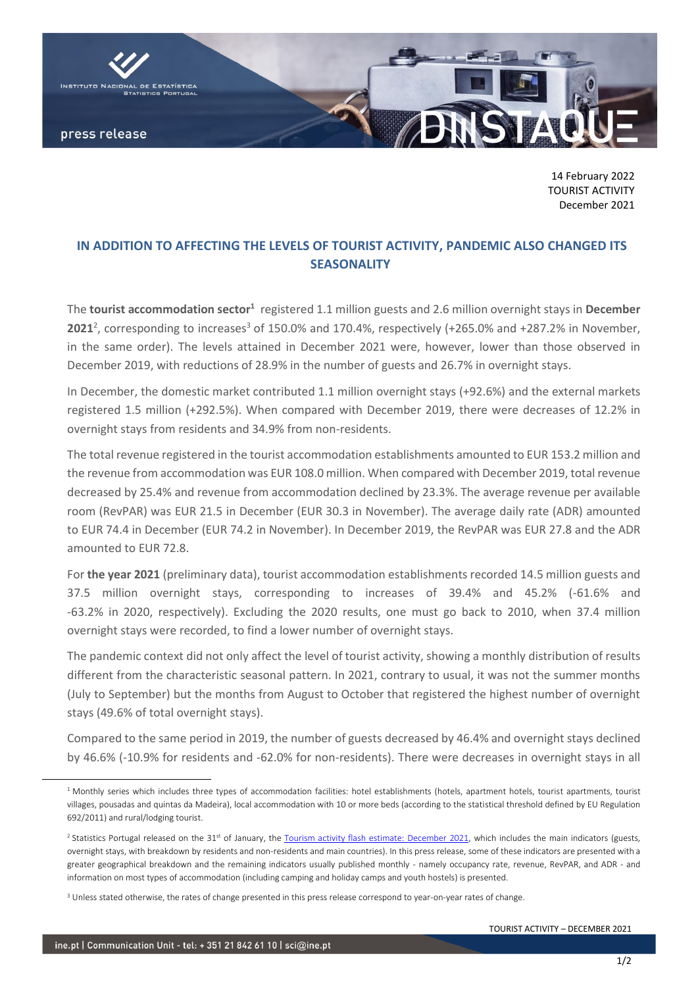

14 February 2022 TOURIST ACTIVITY December 2021

## **IN ADDITION TO AFFECTING THE LEVELS OF TOURIST ACTIVITY, PANDEMIC ALSO CHANGED ITS SEASONALITY**

The **tourist accommodation sector**<sup>1</sup> registered 1.1 million guests and 2.6 million overnight stays in December **2021**<sup>2</sup>, corresponding to increases<sup>3</sup> of 150.0% and 170.4%, respectively (+265.0% and +287.2% in November, in the same order). The levels attained in December 2021 were, however, lower than those observed in December 2019, with reductions of 28.9% in the number of guests and 26.7% in overnight stays.

In December, the domestic market contributed 1.1 million overnight stays (+92.6%) and the external markets registered 1.5 million (+292.5%). When compared with December 2019, there were decreases of 12.2% in overnight stays from residents and 34.9% from non-residents.

The total revenue registered in the tourist accommodation establishments amounted to EUR 153.2 million and the revenue from accommodation was EUR 108.0 million. When compared with December 2019, total revenue decreased by 25.4% and revenue from accommodation declined by 23.3%. The average revenue per available room (RevPAR) was EUR 21.5 in December (EUR 30.3 in November). The average daily rate (ADR) amounted to EUR 74.4 in December (EUR 74.2 in November). In December 2019, the RevPAR was EUR 27.8 and the ADR amounted to EUR 72.8.

For **the year 2021** (preliminary data), tourist accommodation establishments recorded 14.5 million guests and 37.5 million overnight stays, corresponding to increases of 39.4% and 45.2% (-61.6% and -63.2% in 2020, respectively). Excluding the 2020 results, one must go back to 2010, when 37.4 million overnight stays were recorded, to find a lower number of overnight stays.

The pandemic context did not only affect the level of tourist activity, showing a monthly distribution of results different from the characteristic seasonal pattern. In 2021, contrary to usual, it was not the summer months (July to September) but the months from August to October that registered the highest number of overnight stays (49.6% of total overnight stays).

Compared to the same period in 2019, the number of guests decreased by 46.4% and overnight stays declined by 46.6% (-10.9% for residents and -62.0% for non-residents). There were decreases in overnight stays in all

<sup>&</sup>lt;sup>1</sup> Monthly series which includes three types of accommodation facilities: hotel establishments (hotels, apartment hotels, tourist apartments, tourist villages, pousadas and quintas da Madeira), local accommodation with 10 or more beds (according to the statistical threshold defined by EU Regulation 692/2011) and rural/lodging tourist.

<sup>&</sup>lt;sup>2</sup> Statistics Portugal released on the 31<sup>st</sup> of January, th[e Tourism activity flash estimate: December](https://www.ine.pt/xportal/xmain?xpid=INE&xpgid=ine_destaques&DESTAQUESdest_boui=521191614&DESTAQUESmodo=2) 2021, which includes the main indicators (guests, overnight stays, with breakdown by residents and non-residents and main countries). In this press release, some of these indicators are presented with a greater geographical breakdown and the remaining indicators usually published monthly - namely occupancy rate, revenue, RevPAR, and ADR - and information on most types of accommodation (including camping and holiday camps and youth hostels) is presented.

<sup>&</sup>lt;sup>3</sup> Unless stated otherwise, the rates of change presented in this press release correspond to year-on-year rates of change.